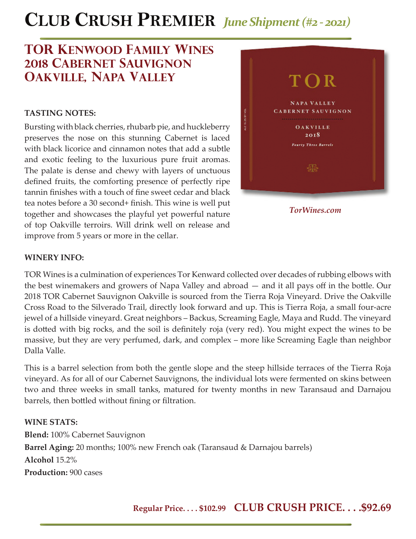# **CLUB CRUSH PREMIER** *June Shipment (#2 - 2021)*

## **TOR kenwood family wines 2018 cabernet sauvignon oakville, napa valley**

## **TASTING NOTES:**

Bursting with black cherries, rhubarb pie, and huckleberry preserves the nose on this stunning Cabernet is laced with black licorice and cinnamon notes that add a subtle and exotic feeling to the luxurious pure fruit aromas. The palate is dense and chewy with layers of unctuous defined fruits, the comforting presence of perfectly ripe tannin finishes with a touch of fine sweet cedar and black tea notes before a 30 second+ finish. This wine is well put together and showcases the playful yet powerful nature of top Oakville terroirs. Will drink well on release and improve from 5 years or more in the cellar.



*TorWines.com*

### **WINERY INFO:**

TOR Wines is a culmination of experiences Tor Kenward collected over decades of rubbing elbows with the best winemakers and growers of Napa Valley and abroad — and it all pays off in the bottle. Our 2018 TOR Cabernet Sauvignon Oakville is sourced from the Tierra Roja Vineyard. Drive the Oakville Cross Road to the Silverado Trail, directly look forward and up. This is Tierra Roja, a small four-acre jewel of a hillside vineyard. Great neighbors – Backus, Screaming Eagle, Maya and Rudd. The vineyard is dotted with big rocks, and the soil is definitely roja (very red). You might expect the wines to be massive, but they are very perfumed, dark, and complex – more like Screaming Eagle than neighbor Dalla Valle.

This is a barrel selection from both the gentle slope and the steep hillside terraces of the Tierra Roja vineyard. As for all of our Cabernet Sauvignons, the individual lots were fermented on skins between two and three weeks in small tanks, matured for twenty months in new Taransaud and Darnajou barrels, then bottled without fining or filtration.

### **WINE STATS:**

**Blend:** 100% Cabernet Sauvignon **Barrel Aging:** 20 months; 100% new French oak (Taransaud & Darnajou barrels) **Alcohol** 15.2% **Production:** 900 cases